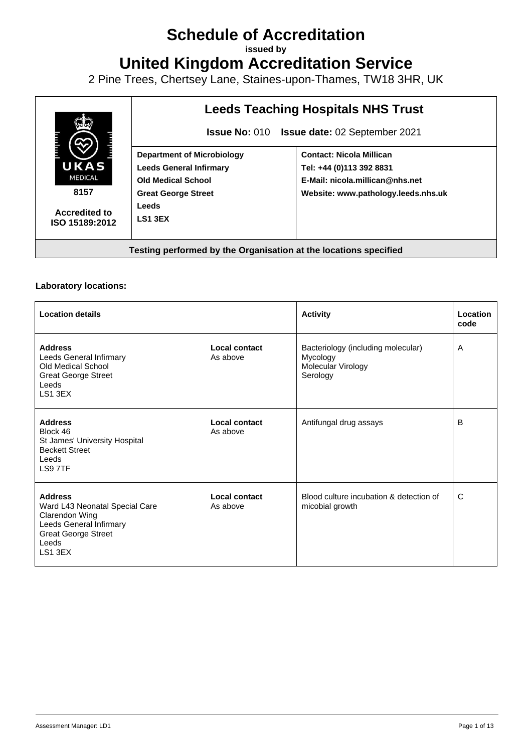## **Schedule of Accreditation**

**issued by**

**United Kingdom Accreditation Service**

2 Pine Trees, Chertsey Lane, Staines-upon-Thames, TW18 3HR, UK



## **Laboratory locations:**

| <b>Location details</b>                                                                                                                         |                           | <b>Activity</b>                                                                  | Location<br>code |
|-------------------------------------------------------------------------------------------------------------------------------------------------|---------------------------|----------------------------------------------------------------------------------|------------------|
| <b>Address</b><br>Leeds General Infirmary<br>Old Medical School<br><b>Great George Street</b><br>Leeds<br>LS1 3EX                               | Local contact<br>As above | Bacteriology (including molecular)<br>Mycology<br>Molecular Virology<br>Serology | A                |
| <b>Address</b><br>Block 46<br>St James' University Hospital<br><b>Beckett Street</b><br>Leeds<br>LS9 7TF                                        | Local contact<br>As above | Antifungal drug assays                                                           | B                |
| <b>Address</b><br>Ward L43 Neonatal Special Care<br>Clarendon Wing<br>Leeds General Infirmary<br><b>Great George Street</b><br>Leeds<br>LS1 3EX | Local contact<br>As above | Blood culture incubation & detection of<br>micobial growth                       | C                |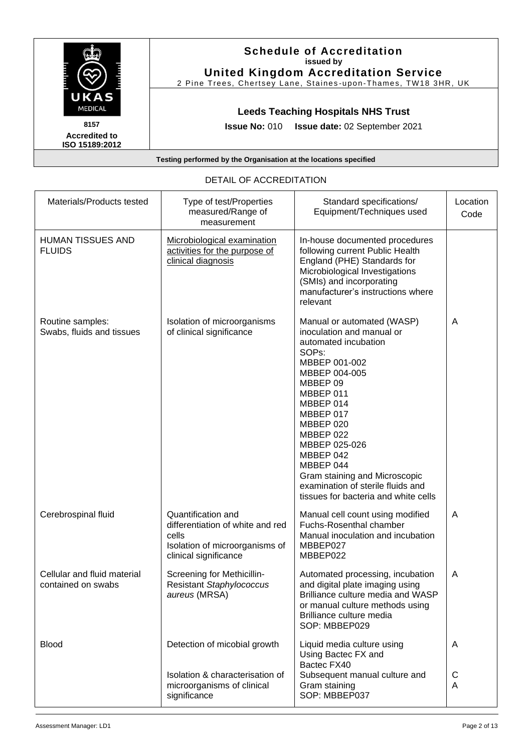|                                                | <b>Schedule of Accreditation</b><br>issued by<br><b>United Kingdom Accreditation Service</b><br>2 Pine Trees, Chertsey Lane, Staines-upon-Thames, TW18 3HR, UK |
|------------------------------------------------|----------------------------------------------------------------------------------------------------------------------------------------------------------------|
| <b>UKAS</b><br><b>MEDICAL</b>                  | <b>Leeds Teaching Hospitals NHS Trust</b>                                                                                                                      |
| 8157<br><b>Accredited to</b><br>ISO 15189:2012 | <b>Issue date: 02 September 2021</b><br><b>Issue No: 010</b>                                                                                                   |

|                                                   | DETAIL OF AUUNEDITATIUN                                                                                                    |                                                                                                                                                                                                                                                                                                                                                                               |                  |
|---------------------------------------------------|----------------------------------------------------------------------------------------------------------------------------|-------------------------------------------------------------------------------------------------------------------------------------------------------------------------------------------------------------------------------------------------------------------------------------------------------------------------------------------------------------------------------|------------------|
| Materials/Products tested                         | Type of test/Properties<br>measured/Range of<br>measurement                                                                | Standard specifications/<br>Equipment/Techniques used                                                                                                                                                                                                                                                                                                                         | Location<br>Code |
| HUMAN TISSUES AND<br><b>FLUIDS</b>                | Microbiological examination<br>activities for the purpose of<br>clinical diagnosis                                         | In-house documented procedures<br>following current Public Health<br>England (PHE) Standards for<br>Microbiological Investigations<br>(SMIs) and incorporating<br>manufacturer's instructions where<br>relevant                                                                                                                                                               |                  |
| Routine samples:<br>Swabs, fluids and tissues     | Isolation of microorganisms<br>of clinical significance                                                                    | Manual or automated (WASP)<br>inoculation and manual or<br>automated incubation<br>SOP <sub>s</sub> :<br>MBBEP 001-002<br>MBBEP 004-005<br>MBBEP 09<br>MBBEP 011<br>MBBEP 014<br>MBBEP 017<br>MBBEP 020<br>MBBEP 022<br>MBBEP 025-026<br>MBBEP 042<br>MBBEP 044<br>Gram staining and Microscopic<br>examination of sterile fluids and<br>tissues for bacteria and white cells | A                |
| Cerebrospinal fluid                               | Quantification and<br>differentiation of white and red<br>cells<br>Isolation of microorganisms of<br>clinical significance | Manual cell count using modified<br>Fuchs-Rosenthal chamber<br>Manual inoculation and incubation<br>MBBEP027<br>MBBEP022                                                                                                                                                                                                                                                      | A                |
| Cellular and fluid material<br>contained on swabs | Screening for Methicillin-<br>Resistant Staphylococcus<br>aureus (MRSA)                                                    | Automated processing, incubation<br>and digital plate imaging using<br>Brilliance culture media and WASP<br>or manual culture methods using<br>Brilliance culture media<br>SOP: MBBEP029                                                                                                                                                                                      | A                |
| <b>Blood</b>                                      | Detection of micobial growth                                                                                               | Liquid media culture using<br>Using Bactec FX and<br>Bactec FX40                                                                                                                                                                                                                                                                                                              | A                |
|                                                   | Isolation & characterisation of<br>microorganisms of clinical<br>significance                                              | Subsequent manual culture and<br>Gram staining<br>SOP: MBBEP037                                                                                                                                                                                                                                                                                                               | С<br>A           |

## DETAIL OF ACCREDITATION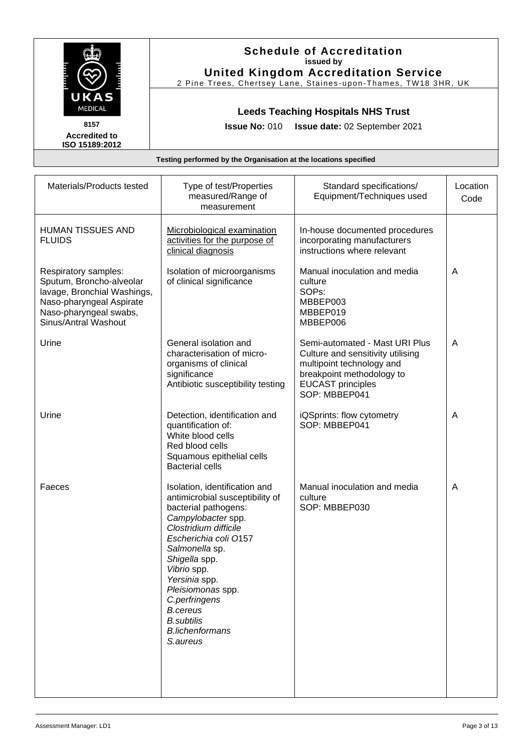| UKAS                                                                                                                                                          |                                                                                                                                                                                                                                                                                                                                                         | <b>Schedule of Accreditation</b><br>issued by<br><b>United Kingdom Accreditation Service</b><br>2 Pine Trees, Chertsey Lane, Staines-upon-Thames, TW18 3HR, UK             |                  |
|---------------------------------------------------------------------------------------------------------------------------------------------------------------|---------------------------------------------------------------------------------------------------------------------------------------------------------------------------------------------------------------------------------------------------------------------------------------------------------------------------------------------------------|----------------------------------------------------------------------------------------------------------------------------------------------------------------------------|------------------|
| <b>MEDICAL</b><br>8157                                                                                                                                        | <b>Issue No: 010</b>                                                                                                                                                                                                                                                                                                                                    | <b>Leeds Teaching Hospitals NHS Trust</b><br>Issue date: 02 September 2021                                                                                                 |                  |
| <b>Accredited to</b><br>ISO 15189:2012                                                                                                                        |                                                                                                                                                                                                                                                                                                                                                         |                                                                                                                                                                            |                  |
|                                                                                                                                                               | Testing performed by the Organisation at the locations specified                                                                                                                                                                                                                                                                                        |                                                                                                                                                                            |                  |
| Materials/Products tested                                                                                                                                     | Type of test/Properties<br>measured/Range of<br>measurement                                                                                                                                                                                                                                                                                             | Standard specifications/<br>Equipment/Techniques used                                                                                                                      | Location<br>Code |
| HUMAN TISSUES AND<br><b>FLUIDS</b>                                                                                                                            | Microbiological examination<br>activities for the purpose of<br>clinical diagnosis                                                                                                                                                                                                                                                                      | In-house documented procedures<br>incorporating manufacturers<br>instructions where relevant                                                                               |                  |
| Respiratory samples:<br>Sputum, Broncho-alveolar<br>lavage, Bronchial Washings,<br>Naso-pharyngeal Aspirate<br>Naso-pharyngeal swabs,<br>Sinus/Antral Washout | Isolation of microorganisms<br>of clinical significance                                                                                                                                                                                                                                                                                                 | Manual inoculation and media<br>culture<br>SOP <sub>s</sub> :<br>MBBEP003<br>MBBEP019<br>MBBEP006                                                                          | A                |
| Urine                                                                                                                                                         | General isolation and<br>characterisation of micro-<br>organisms of clinical<br>significance<br>Antibiotic susceptibility testing                                                                                                                                                                                                                       | Semi-automated - Mast URI Plus<br>Culture and sensitivity utilising<br>multipoint technology and<br>breakpoint methodology to<br><b>EUCAST</b> principles<br>SOP: MBBEP041 | A                |
| Urine                                                                                                                                                         | Detection, identification and<br>quantification of:<br>White blood cells<br>Red blood cells<br>Squamous epithelial cells<br><b>Bacterial cells</b>                                                                                                                                                                                                      | iQSprints: flow cytometry<br>SOP: MBBEP041                                                                                                                                 | A                |
| Faeces                                                                                                                                                        | Isolation, identification and<br>antimicrobial susceptibility of<br>bacterial pathogens:<br>Campylobacter spp.<br>Clostridium difficile<br>Escherichia coli 0157<br>Salmonella sp.<br>Shigella spp.<br>Vibrio spp.<br>Yersinia spp.<br>Pleisiomonas spp.<br>C.perfringens<br><b>B.cereus</b><br><b>B.subtilis</b><br><b>B.lichenformans</b><br>S.aureus | Manual inoculation and media<br>culture<br>SOP: MBBEP030                                                                                                                   | A                |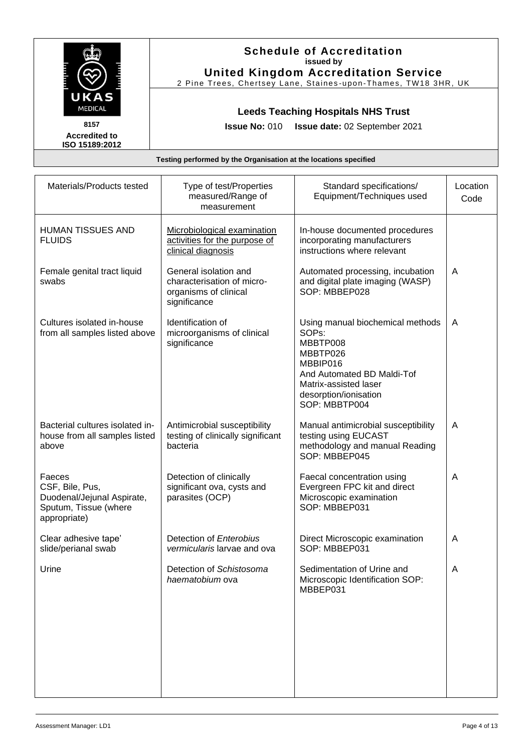|                                                                                                  |                                                                                              | <b>Schedule of Accreditation</b><br>issued by<br><b>United Kingdom Accreditation Service</b><br>2 Pine Trees, Chertsey Lane, Staines-upon-Thames, TW18 3HR, UK                              |                  |
|--------------------------------------------------------------------------------------------------|----------------------------------------------------------------------------------------------|---------------------------------------------------------------------------------------------------------------------------------------------------------------------------------------------|------------------|
| UKAS<br><b>MEDICAL</b><br>8157<br><b>Accredited to</b><br>ISO 15189:2012                         | <b>Issue No: 010</b>                                                                         | <b>Leeds Teaching Hospitals NHS Trust</b><br>Issue date: 02 September 2021                                                                                                                  |                  |
|                                                                                                  | Testing performed by the Organisation at the locations specified                             |                                                                                                                                                                                             |                  |
| Materials/Products tested                                                                        | Type of test/Properties<br>measured/Range of<br>measurement                                  | Standard specifications/<br>Equipment/Techniques used                                                                                                                                       | Location<br>Code |
| HUMAN TISSUES AND<br><b>FLUIDS</b>                                                               | Microbiological examination<br>activities for the purpose of<br>clinical diagnosis           | In-house documented procedures<br>incorporating manufacturers<br>instructions where relevant                                                                                                |                  |
| Female genital tract liquid<br>swabs                                                             | General isolation and<br>characterisation of micro-<br>organisms of clinical<br>significance | Automated processing, incubation<br>and digital plate imaging (WASP)<br>SOP: MBBEP028                                                                                                       | A                |
| Cultures isolated in-house<br>from all samples listed above                                      | Identification of<br>microorganisms of clinical<br>significance                              | Using manual biochemical methods<br>SOP <sub>s</sub> :<br>MBBTP008<br>MBBTP026<br>MBBIP016<br>And Automated BD Maldi-Tof<br>Matrix-assisted laser<br>desorption/ionisation<br>SOP: MBBTP004 | A                |
| Bacterial cultures isolated in-<br>house from all samples listed<br>above                        | Antimicrobial susceptibility<br>testing of clinically significant<br>bacteria                | Manual antimicrobial susceptibility<br>testing using EUCAST<br>methodology and manual Reading<br>SOP: MBBEP045                                                                              | A                |
| Faeces<br>CSF, Bile, Pus,<br>Duodenal/Jejunal Aspirate,<br>Sputum, Tissue (where<br>appropriate) | Detection of clinically<br>significant ova, cysts and<br>parasites (OCP)                     | Faecal concentration using<br>Evergreen FPC kit and direct<br>Microscopic examination<br>SOP: MBBEP031                                                                                      | A                |
| Clear adhesive tape'<br>slide/perianal swab                                                      | Detection of Enterobius<br>vermicularis larvae and ova                                       | Direct Microscopic examination<br>SOP: MBBEP031                                                                                                                                             | A                |
| Urine                                                                                            | Detection of Schistosoma<br>haematobium ova                                                  | Sedimentation of Urine and<br>Microscopic Identification SOP:<br>MBBEP031                                                                                                                   | A                |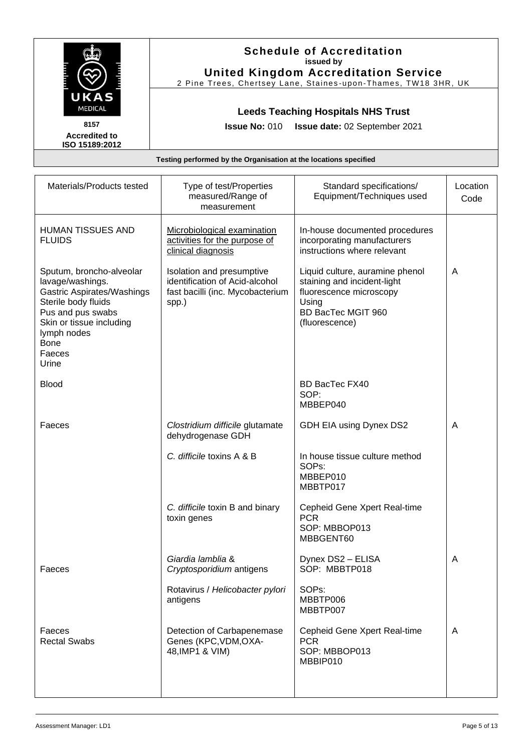|                                                                                                                                                                                                     |                                                                                                          | <b>Schedule of Accreditation</b><br>issued by<br><b>United Kingdom Accreditation Service</b><br>2 Pine Trees, Chertsey Lane, Staines-upon-Thames, TW18 3HR, UK |                  |
|-----------------------------------------------------------------------------------------------------------------------------------------------------------------------------------------------------|----------------------------------------------------------------------------------------------------------|----------------------------------------------------------------------------------------------------------------------------------------------------------------|------------------|
| UKAS<br>MEDICAL<br>8157<br><b>Accredited to</b><br>ISO 15189:2012                                                                                                                                   | <b>Issue No: 010</b>                                                                                     | <b>Leeds Teaching Hospitals NHS Trust</b><br>Issue date: 02 September 2021                                                                                     |                  |
|                                                                                                                                                                                                     | Testing performed by the Organisation at the locations specified                                         |                                                                                                                                                                |                  |
| Materials/Products tested                                                                                                                                                                           | Type of test/Properties<br>measured/Range of<br>measurement                                              | Standard specifications/<br>Equipment/Techniques used                                                                                                          | Location<br>Code |
| <b>HUMAN TISSUES AND</b><br><b>FLUIDS</b>                                                                                                                                                           | Microbiological examination<br>activities for the purpose of<br>clinical diagnosis                       | In-house documented procedures<br>incorporating manufacturers<br>instructions where relevant                                                                   |                  |
| Sputum, broncho-alveolar<br>lavage/washings.<br>Gastric Aspirates/Washings<br>Sterile body fluids<br>Pus and pus swabs<br>Skin or tissue including<br>lymph nodes<br><b>Bone</b><br>Faeces<br>Urine | Isolation and presumptive<br>identification of Acid-alcohol<br>fast bacilli (inc. Mycobacterium<br>spp.) | Liquid culture, auramine phenol<br>staining and incident-light<br>fluorescence microscopy<br>Using<br>BD BacTec MGIT 960<br>(fluorescence)                     | A                |
| <b>Blood</b>                                                                                                                                                                                        |                                                                                                          | BD BacTec FX40<br>SOP:<br>MBBEP040                                                                                                                             |                  |
| Faeces                                                                                                                                                                                              | Clostridium difficile glutamate<br>dehydrogenase GDH                                                     | GDH EIA using Dynex DS2                                                                                                                                        | A                |
|                                                                                                                                                                                                     | C. difficile toxins A & B                                                                                | In house tissue culture method<br>SOP <sub>s</sub> :<br>MBBEP010<br>MBBTP017                                                                                   |                  |
|                                                                                                                                                                                                     | C. difficile toxin B and binary<br>toxin genes                                                           | Cepheid Gene Xpert Real-time<br><b>PCR</b><br>SOP: MBBOP013<br>MBBGENT60                                                                                       |                  |
| Faeces                                                                                                                                                                                              | Giardia lamblia &<br>Cryptosporidium antigens                                                            | Dynex DS2 - ELISA<br>SOP: MBBTP018                                                                                                                             | A                |
|                                                                                                                                                                                                     | Rotavirus / Helicobacter pylori<br>antigens                                                              | SOPs:<br>MBBTP006<br>MBBTP007                                                                                                                                  |                  |
| Faeces<br><b>Rectal Swabs</b>                                                                                                                                                                       | Detection of Carbapenemase<br>Genes (KPC, VDM, OXA-<br>48, IMP1 & VIM)                                   | Cepheid Gene Xpert Real-time<br><b>PCR</b><br>SOP: MBBOP013<br>MBBIP010                                                                                        | A                |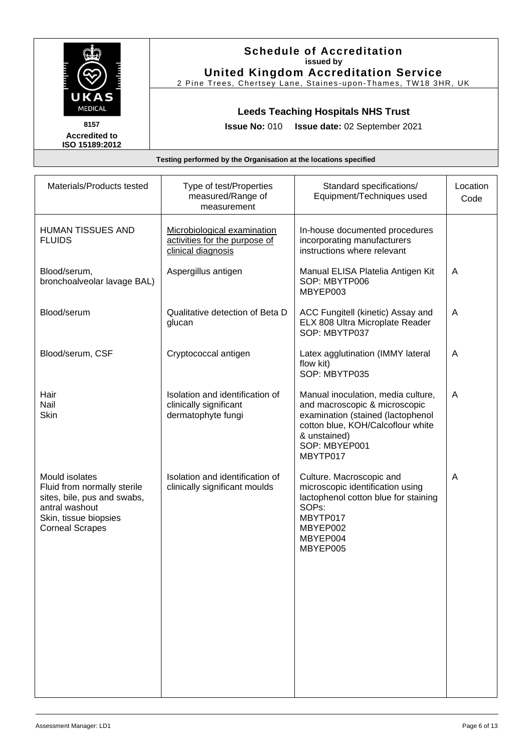|                                                                                                                                                   |                                                                                    | <b>Schedule of Accreditation</b><br>issued by<br><b>United Kingdom Accreditation Service</b><br>2 Pine Trees, Chertsey Lane, Staines-upon-Thames, TW18 3HR, UK                             |                  |
|---------------------------------------------------------------------------------------------------------------------------------------------------|------------------------------------------------------------------------------------|--------------------------------------------------------------------------------------------------------------------------------------------------------------------------------------------|------------------|
| UKAS<br><b>MEDICAL</b><br>8157<br><b>Accredited to</b><br>ISO 15189:2012                                                                          | <b>Issue No: 010</b>                                                               | <b>Leeds Teaching Hospitals NHS Trust</b><br>Issue date: 02 September 2021                                                                                                                 |                  |
|                                                                                                                                                   | Testing performed by the Organisation at the locations specified                   |                                                                                                                                                                                            |                  |
| Materials/Products tested                                                                                                                         | Type of test/Properties<br>measured/Range of<br>measurement                        | Standard specifications/<br>Equipment/Techniques used                                                                                                                                      | Location<br>Code |
| <b>HUMAN TISSUES AND</b><br><b>FLUIDS</b>                                                                                                         | Microbiological examination<br>activities for the purpose of<br>clinical diagnosis | In-house documented procedures<br>incorporating manufacturers<br>instructions where relevant                                                                                               |                  |
| Blood/serum,<br>bronchoalveolar lavage BAL)                                                                                                       | Aspergillus antigen                                                                | Manual ELISA Platelia Antigen Kit<br>SOP: MBYTP006<br>MBYEP003                                                                                                                             | A                |
| Blood/serum                                                                                                                                       | Qualitative detection of Beta D<br>glucan                                          | ACC Fungitell (kinetic) Assay and<br>ELX 808 Ultra Microplate Reader<br>SOP: MBYTP037                                                                                                      | A                |
| Blood/serum, CSF                                                                                                                                  | Cryptococcal antigen                                                               | Latex agglutination (IMMY lateral<br>flow kit)<br>SOP: MBYTP035                                                                                                                            | A                |
| Hair<br>Nail<br>Skin                                                                                                                              | Isolation and identification of<br>clinically significant<br>dermatophyte fungi    | Manual inoculation, media culture,<br>and macroscopic & microscopic<br>examination (stained (lactophenol<br>cotton blue, KOH/Calcoflour white<br>& unstained)<br>SOP: MBYEP001<br>MBYTP017 | A                |
| Mould isolates<br>Fluid from normally sterile<br>sites, bile, pus and swabs,<br>antral washout<br>Skin, tissue biopsies<br><b>Corneal Scrapes</b> | Isolation and identification of<br>clinically significant moulds                   | Culture. Macroscopic and<br>microscopic identification using<br>lactophenol cotton blue for staining<br>SOP <sub>s:</sub><br>MBYTP017<br>MBYEP002<br>MBYEP004<br>MBYEP005                  | A                |

 $\mathcal{L}$ 

Г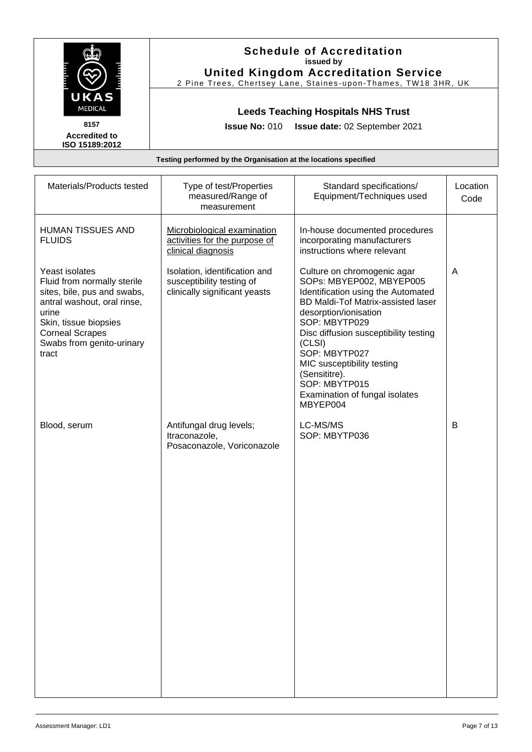|                                                                                                                                                                                                               |                                                                                             | <b>Schedule of Accreditation</b><br>issued by<br><b>United Kingdom Accreditation Service</b><br>2 Pine Trees, Chertsey Lane, Staines-upon-Thames, TW18 3HR, UK                                                                                                                                                                                                  |                  |
|---------------------------------------------------------------------------------------------------------------------------------------------------------------------------------------------------------------|---------------------------------------------------------------------------------------------|-----------------------------------------------------------------------------------------------------------------------------------------------------------------------------------------------------------------------------------------------------------------------------------------------------------------------------------------------------------------|------------------|
| UKAS<br>MEDICAL<br>8157                                                                                                                                                                                       |                                                                                             | <b>Leeds Teaching Hospitals NHS Trust</b>                                                                                                                                                                                                                                                                                                                       |                  |
| <b>Accredited to</b><br>ISO 15189:2012                                                                                                                                                                        | <b>Issue No: 010</b>                                                                        | Issue date: 02 September 2021                                                                                                                                                                                                                                                                                                                                   |                  |
|                                                                                                                                                                                                               | Testing performed by the Organisation at the locations specified                            |                                                                                                                                                                                                                                                                                                                                                                 |                  |
| Materials/Products tested                                                                                                                                                                                     | Type of test/Properties<br>measured/Range of<br>measurement                                 | Standard specifications/<br>Equipment/Techniques used                                                                                                                                                                                                                                                                                                           | Location<br>Code |
| HUMAN TISSUES AND<br><b>FLUIDS</b>                                                                                                                                                                            | Microbiological examination<br>activities for the purpose of<br>clinical diagnosis          | In-house documented procedures<br>incorporating manufacturers<br>instructions where relevant                                                                                                                                                                                                                                                                    |                  |
| Yeast isolates<br>Fluid from normally sterile<br>sites, bile, pus and swabs,<br>antral washout, oral rinse,<br>urine<br>Skin, tissue biopsies<br><b>Corneal Scrapes</b><br>Swabs from genito-urinary<br>tract | Isolation, identification and<br>susceptibility testing of<br>clinically significant yeasts | Culture on chromogenic agar<br>SOPs: MBYEP002, MBYEP005<br>Identification using the Automated<br>BD Maldi-Tof Matrix-assisted laser<br>desorption/ionisation<br>SOP: MBYTP029<br>Disc diffusion susceptibility testing<br>(CLSI)<br>SOP: MBYTP027<br>MIC susceptibility testing<br>(Sensititre).<br>SOP: MBYTP015<br>Examination of fungal isolates<br>MBYEP004 | A                |
| Blood, serum                                                                                                                                                                                                  | Antifungal drug levels;<br>Itraconazole.<br>Posaconazole, Voriconazole                      | LC-MS/MS<br>SOP: MBYTP036                                                                                                                                                                                                                                                                                                                                       | В                |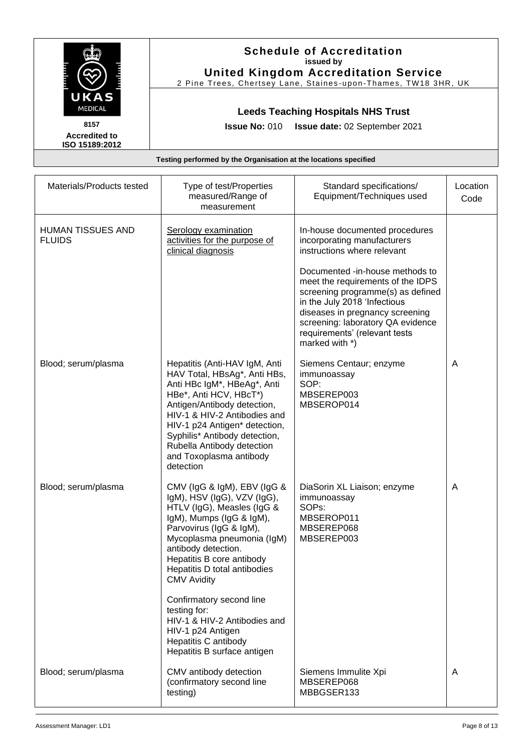| <b>MEDICAL</b><br>8157<br><b>Accredited to</b><br>ISO 15189:2012 | <b>Issue No: 010</b><br>Testing performed by the Organisation at the locations specified                                                                                                                                                                                                                                            | <b>Leeds Teaching Hospitals NHS Trust</b><br>Issue date: 02 September 2021                                                                                                                                                                                           |                  |
|------------------------------------------------------------------|-------------------------------------------------------------------------------------------------------------------------------------------------------------------------------------------------------------------------------------------------------------------------------------------------------------------------------------|----------------------------------------------------------------------------------------------------------------------------------------------------------------------------------------------------------------------------------------------------------------------|------------------|
|                                                                  |                                                                                                                                                                                                                                                                                                                                     |                                                                                                                                                                                                                                                                      |                  |
|                                                                  |                                                                                                                                                                                                                                                                                                                                     |                                                                                                                                                                                                                                                                      |                  |
| Materials/Products tested                                        | Type of test/Properties<br>measured/Range of<br>measurement                                                                                                                                                                                                                                                                         | Standard specifications/<br>Equipment/Techniques used                                                                                                                                                                                                                | Location<br>Code |
| <b>HUMAN TISSUES AND</b><br><b>FLUIDS</b>                        | Serology examination<br>activities for the purpose of<br>clinical diagnosis                                                                                                                                                                                                                                                         | In-house documented procedures<br>incorporating manufacturers<br>instructions where relevant                                                                                                                                                                         |                  |
|                                                                  |                                                                                                                                                                                                                                                                                                                                     | Documented -in-house methods to<br>meet the requirements of the IDPS<br>screening programme(s) as defined<br>in the July 2018 'Infectious<br>diseases in pregnancy screening<br>screening: laboratory QA evidence<br>requirements' (relevant tests<br>marked with *) |                  |
| Blood; serum/plasma                                              | Hepatitis (Anti-HAV IgM, Anti<br>HAV Total, HBsAg*, Anti HBs,<br>Anti HBc IgM*, HBeAg*, Anti<br>HBe*, Anti HCV, HBcT*)<br>Antigen/Antibody detection,<br>HIV-1 & HIV-2 Antibodies and<br>HIV-1 p24 Antigen* detection,<br>Syphilis* Antibody detection,<br>Rubella Antibody detection<br>and Toxoplasma antibody<br>detection       | Siemens Centaur; enzyme<br>immunoassay<br>SOP:<br>MBSEREP003<br>MBSEROP014                                                                                                                                                                                           | A                |
| Blood; serum/plasma                                              | CMV (IgG & IgM), EBV (IgG &<br>IgM), HSV (IgG), VZV (IgG),<br>HTLV (IgG), Measles (IgG &<br>IgM), Mumps (IgG & IgM),<br>Parvovirus (IgG & IgM),<br>Mycoplasma pneumonia (IgM)<br>antibody detection.<br>Hepatitis B core antibody<br>Hepatitis D total antibodies<br><b>CMV Avidity</b><br>Confirmatory second line<br>testing for: | DiaSorin XL Liaison; enzyme<br>immunoassay<br>SOP <sub>s</sub> :<br>MBSEROP011<br>MBSEREP068<br>MBSEREP003                                                                                                                                                           | A                |
| Blood; serum/plasma                                              | HIV-1 & HIV-2 Antibodies and<br>HIV-1 p24 Antigen<br>Hepatitis C antibody<br>Hepatitis B surface antigen<br>CMV antibody detection                                                                                                                                                                                                  | Siemens Immulite Xpi                                                                                                                                                                                                                                                 | A                |

(confirmatory second line

MBBGSER133

testing)

 $\frac{1}{2}$ 

T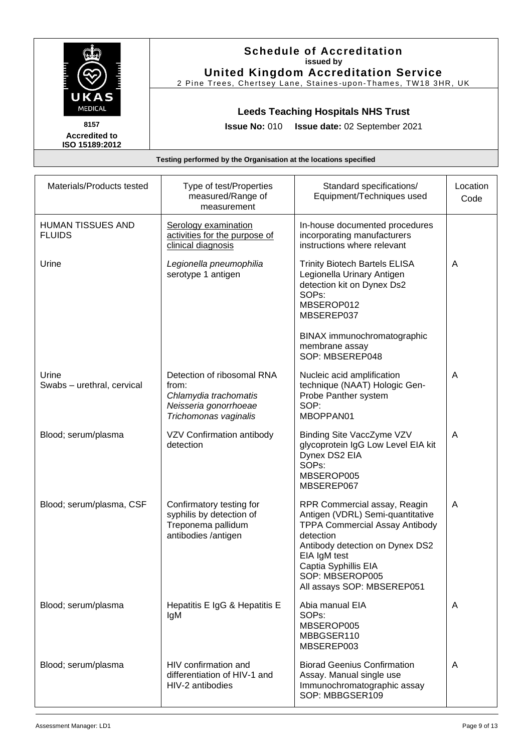|                                                                                                                                                                      |                                                                  | <b>Schedule of Accreditation</b><br>issued by<br><b>United Kingdom Accreditation Service</b><br>2 Pine Trees, Chertsey Lane, Staines-upon-Thames, TW18 3HR, UK |                  |
|----------------------------------------------------------------------------------------------------------------------------------------------------------------------|------------------------------------------------------------------|----------------------------------------------------------------------------------------------------------------------------------------------------------------|------------------|
| UKAS<br><b>MEDICAL</b><br><b>Leeds Teaching Hospitals NHS Trust</b><br>8157<br>Issue No: 010 Issue date: 02 September 2021<br><b>Accredited to</b><br>ISO 15189:2012 |                                                                  |                                                                                                                                                                |                  |
|                                                                                                                                                                      | Testing performed by the Organisation at the locations specified |                                                                                                                                                                |                  |
| Materials/Products tested                                                                                                                                            | Type of test/Properties<br>measured/Range of<br>mageuramant      | Standard specifications/<br>Equipment/Techniques used                                                                                                          | Location<br>Code |

|                                     | measured/Range of<br>measurement                                                                               | Equipment/Techniques used                                                                                                                                                                                                                          | Code |
|-------------------------------------|----------------------------------------------------------------------------------------------------------------|----------------------------------------------------------------------------------------------------------------------------------------------------------------------------------------------------------------------------------------------------|------|
| HUMAN TISSUES AND<br><b>FLUIDS</b>  | Serology examination<br>activities for the purpose of<br>clinical diagnosis                                    | In-house documented procedures<br>incorporating manufacturers<br>instructions where relevant                                                                                                                                                       |      |
| Urine                               | Legionella pneumophilia<br>serotype 1 antigen                                                                  | <b>Trinity Biotech Bartels ELISA</b><br>Legionella Urinary Antigen<br>detection kit on Dynex Ds2<br>SOP <sub>s</sub> :<br>MBSEROP012<br>MBSEREP037<br>BINAX immunochromatographic<br>membrane assay<br>SOP: MBSEREP048                             | A    |
| Urine<br>Swabs - urethral, cervical | Detection of ribosomal RNA<br>from:<br>Chlamydia trachomatis<br>Neisseria gonorrhoeae<br>Trichomonas vaginalis | Nucleic acid amplification<br>technique (NAAT) Hologic Gen-<br>Probe Panther system<br>SOP:<br>MBOPPAN01                                                                                                                                           | A    |
| Blood; serum/plasma                 | VZV Confirmation antibody<br>detection                                                                         | Binding Site VaccZyme VZV<br>glycoprotein IgG Low Level EIA kit<br>Dynex DS2 EIA<br>SOP <sub>s</sub> :<br>MBSEROP005<br>MBSEREP067                                                                                                                 | A    |
| Blood; serum/plasma, CSF            | Confirmatory testing for<br>syphilis by detection of<br>Treponema pallidum<br>antibodies /antigen              | RPR Commercial assay, Reagin<br>Antigen (VDRL) Semi-quantitative<br><b>TPPA Commercial Assay Antibody</b><br>detection<br>Antibody detection on Dynex DS2<br>EIA IgM test<br>Captia Syphillis EIA<br>SOP: MBSEROP005<br>All assays SOP: MBSEREP051 | A    |
| Blood; serum/plasma                 | Hepatitis E IgG & Hepatitis E<br>IgM                                                                           | Abia manual EIA<br>SOP <sub>s</sub> :<br>MBSEROP005<br>MBBGSER110<br>MBSEREP003                                                                                                                                                                    | A    |
| Blood; serum/plasma                 | HIV confirmation and<br>differentiation of HIV-1 and<br>HIV-2 antibodies                                       | <b>Biorad Geenius Confirmation</b><br>Assay. Manual single use<br>Immunochromatographic assay<br>SOP: MBBGSER109                                                                                                                                   | A    |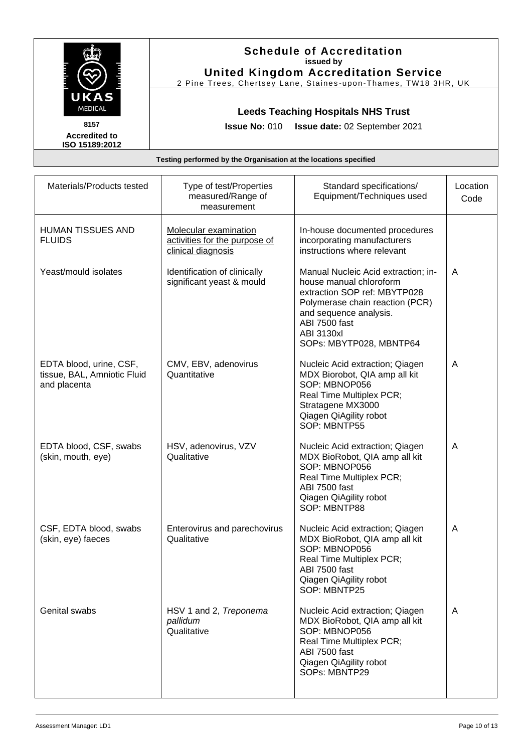| UKAS                                                                   |                                                                              | <b>Schedule of Accreditation</b><br>issued by<br><b>United Kingdom Accreditation Service</b><br>2 Pine Trees, Chertsey Lane, Staines-upon-Thames, TW18 3HR, UK                                                        |                  |
|------------------------------------------------------------------------|------------------------------------------------------------------------------|-----------------------------------------------------------------------------------------------------------------------------------------------------------------------------------------------------------------------|------------------|
| <b>MEDICAL</b>                                                         |                                                                              | <b>Leeds Teaching Hospitals NHS Trust</b>                                                                                                                                                                             |                  |
| 8157<br><b>Accredited to</b>                                           | <b>Issue No: 010</b>                                                         | Issue date: 02 September 2021                                                                                                                                                                                         |                  |
| ISO 15189:2012                                                         |                                                                              |                                                                                                                                                                                                                       |                  |
|                                                                        | Testing performed by the Organisation at the locations specified             |                                                                                                                                                                                                                       |                  |
| Materials/Products tested                                              | Type of test/Properties<br>measured/Range of<br>measurement                  | Standard specifications/<br>Equipment/Techniques used                                                                                                                                                                 | Location<br>Code |
| <b>HUMAN TISSUES AND</b><br><b>FLUIDS</b>                              | Molecular examination<br>activities for the purpose of<br>clinical diagnosis | In-house documented procedures<br>incorporating manufacturers<br>instructions where relevant                                                                                                                          |                  |
| Yeast/mould isolates                                                   | Identification of clinically<br>significant yeast & mould                    | Manual Nucleic Acid extraction; in-<br>house manual chloroform<br>extraction SOP ref: MBYTP028<br>Polymerase chain reaction (PCR)<br>and sequence analysis.<br>ABI 7500 fast<br>ABI 3130xl<br>SOPs: MBYTP028, MBNTP64 | A                |
| EDTA blood, urine, CSF,<br>tissue, BAL, Amniotic Fluid<br>and placenta | CMV, EBV, adenovirus<br>Quantitative                                         | Nucleic Acid extraction; Qiagen<br>MDX Biorobot, QIA amp all kit<br>SOP: MBNOP056<br>Real Time Multiplex PCR;<br>Stratagene MX3000<br>Qiagen QiAgility robot<br>SOP: MBNTP55                                          | A                |
| EDTA blood, CSF, swabs<br>(skin, mouth, eye)                           | HSV, adenovirus, VZV<br>Qualitative                                          | Nucleic Acid extraction; Qiagen<br>MDX BioRobot, QIA amp all kit<br>SOP: MBNOP056<br>Real Time Multiplex PCR;<br>ABI 7500 fast<br>Qiagen QiAgility robot<br>SOP: MBNTP88                                              | A                |
| CSF, EDTA blood, swabs<br>(skin, eye) faeces                           | Enterovirus and parechovirus<br>Qualitative                                  | Nucleic Acid extraction; Qiagen<br>MDX BioRobot, QIA amp all kit<br>SOP: MBNOP056<br>Real Time Multiplex PCR;<br>ABI 7500 fast<br>Qiagen QiAgility robot<br>SOP: MBNTP25                                              | A                |
| Genital swabs                                                          | HSV 1 and 2, Treponema<br>pallidum<br>Qualitative                            | Nucleic Acid extraction; Qiagen<br>MDX BioRobot, QIA amp all kit<br>SOP: MBNOP056<br>Real Time Multiplex PCR;<br>ABI 7500 fast<br>Qiagen QiAgility robot<br>SOPs: MBNTP29                                             | A                |

Г

 $\ldots$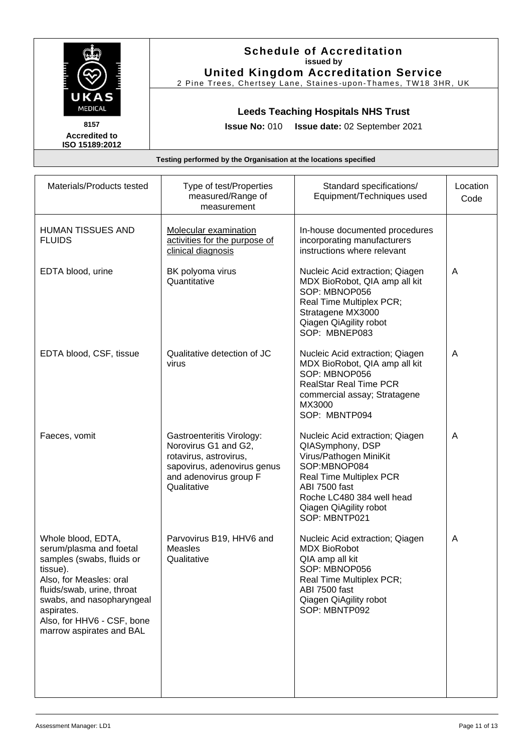|                                                                                                                                                 | <b>Schedule of Accreditation</b><br>issued by<br><b>United Kingdom Accreditation Service</b><br>2 Pine Trees, Chertsey Lane, Staines-upon-Thames, TW18 3HR, UK<br><b>Leeds Teaching Hospitals NHS Trust</b><br><b>Issue No: 010</b><br>Issue date: 02 September 2021 |                                                                                                                                                                                                                   |                  |  |
|-------------------------------------------------------------------------------------------------------------------------------------------------|----------------------------------------------------------------------------------------------------------------------------------------------------------------------------------------------------------------------------------------------------------------------|-------------------------------------------------------------------------------------------------------------------------------------------------------------------------------------------------------------------|------------------|--|
| UKAS<br><b>MEDICAL</b><br>8157<br><b>Accredited to</b><br>ISO 15189:2012                                                                        |                                                                                                                                                                                                                                                                      |                                                                                                                                                                                                                   |                  |  |
|                                                                                                                                                 | Testing performed by the Organisation at the locations specified                                                                                                                                                                                                     |                                                                                                                                                                                                                   |                  |  |
| Materials/Products tested                                                                                                                       | Type of test/Properties<br>measured/Range of<br>measurement                                                                                                                                                                                                          | Standard specifications/<br>Equipment/Techniques used                                                                                                                                                             | Location<br>Code |  |
| HUMAN TISSUES AND<br><b>FLUIDS</b>                                                                                                              | Molecular examination<br>activities for the purpose of<br>clinical diagnosis                                                                                                                                                                                         | In-house documented procedures<br>incorporating manufacturers<br>instructions where relevant                                                                                                                      |                  |  |
| EDTA blood, urine                                                                                                                               | BK polyoma virus<br>Quantitative                                                                                                                                                                                                                                     | Nucleic Acid extraction; Qiagen<br>MDX BioRobot, QIA amp all kit<br>SOP: MBNOP056<br>Real Time Multiplex PCR;<br>Stratagene MX3000<br>Qiagen QiAgility robot<br>SOP: MBNEP083                                     | A                |  |
| EDTA blood, CSF, tissue                                                                                                                         | Qualitative detection of JC<br>virus                                                                                                                                                                                                                                 | Nucleic Acid extraction; Qiagen<br>MDX BioRobot, QIA amp all kit<br>SOP: MBNOP056<br><b>RealStar Real Time PCR</b><br>commercial assay; Stratagene<br>MX3000<br>SOP: MBNTP094                                     | A                |  |
| Faeces, vomit                                                                                                                                   | Gastroenteritis Virology:<br>Norovirus G1 and G2,<br>rotavirus, astrovirus,<br>sapovirus, adenovirus genus<br>and adenovirus group F<br>Qualitative                                                                                                                  | Nucleic Acid extraction; Qiagen<br>QIASymphony, DSP<br>Virus/Pathogen MiniKit<br>SOP:MBNOP084<br>Real Time Multiplex PCR<br>ABI 7500 fast<br>Roche LC480 384 well head<br>Qiagen QiAgility robot<br>SOP: MBNTP021 | A                |  |
| Whole blood, EDTA,<br>serum/plasma and foetal<br>samples (swabs, fluids or<br>tissue).<br>Also, for Measles: oral<br>fluids/swab, urine, throat | Parvovirus B19, HHV6 and<br><b>Measles</b><br>Qualitative                                                                                                                                                                                                            | Nucleic Acid extraction; Qiagen<br><b>MDX BioRobot</b><br>QIA amp all kit<br>SOP: MBNOP056<br>Real Time Multiplex PCR;<br>ABI 7500 fast                                                                           | A                |  |

Qiagen QiAgility robot SOP: MBNTP092

aspirates.

swabs, and nasopharyngeal

Also, for HHV6 - CSF, bone marrow aspirates and BAL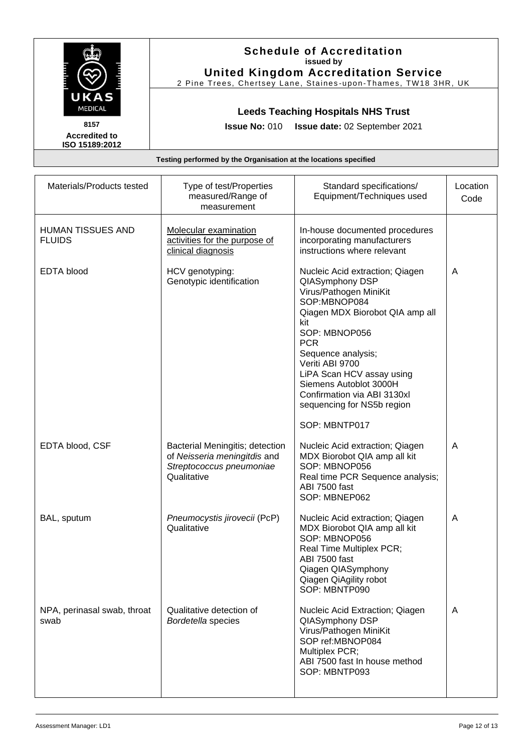|                                                                  | <b>Schedule of Accreditation</b><br>issued by<br><b>United Kingdom Accreditation Service</b><br>2 Pine Trees, Chertsey Lane, Staines-upon-Thames, TW18 3HR, UK<br><b>Leeds Teaching Hospitals NHS Trust</b> |                                                                                                                                                                                                                                                                                                                                    |                  |  |  |  |
|------------------------------------------------------------------|-------------------------------------------------------------------------------------------------------------------------------------------------------------------------------------------------------------|------------------------------------------------------------------------------------------------------------------------------------------------------------------------------------------------------------------------------------------------------------------------------------------------------------------------------------|------------------|--|--|--|
| UKAS                                                             |                                                                                                                                                                                                             |                                                                                                                                                                                                                                                                                                                                    |                  |  |  |  |
| MEDICAL<br>8157                                                  |                                                                                                                                                                                                             |                                                                                                                                                                                                                                                                                                                                    |                  |  |  |  |
| <b>Accredited to</b><br>ISO 15189:2012                           | <b>Issue No: 010</b>                                                                                                                                                                                        | Issue date: 02 September 2021                                                                                                                                                                                                                                                                                                      |                  |  |  |  |
| Testing performed by the Organisation at the locations specified |                                                                                                                                                                                                             |                                                                                                                                                                                                                                                                                                                                    |                  |  |  |  |
| Materials/Products tested                                        | Type of test/Properties<br>measured/Range of<br>measurement                                                                                                                                                 | Standard specifications/<br>Equipment/Techniques used                                                                                                                                                                                                                                                                              | Location<br>Code |  |  |  |
| <b>HUMAN TISSUES AND</b><br><b>FLUIDS</b>                        | Molecular examination<br>activities for the purpose of<br>clinical diagnosis                                                                                                                                | In-house documented procedures<br>incorporating manufacturers<br>instructions where relevant                                                                                                                                                                                                                                       |                  |  |  |  |
| <b>EDTA blood</b>                                                | HCV genotyping:<br>Genotypic identification                                                                                                                                                                 | Nucleic Acid extraction; Qiagen<br>QIASymphony DSP<br>Virus/Pathogen MiniKit<br>SOP:MBNOP084<br>Qiagen MDX Biorobot QIA amp all<br>kit<br>SOP: MBNOP056<br><b>PCR</b><br>Sequence analysis;<br>Veriti ABI 9700<br>LiPA Scan HCV assay using<br>Siemens Autoblot 3000H<br>Confirmation via ABI 3130xl<br>sequencing for NS5b region | A                |  |  |  |
| EDTA blood, CSF                                                  | Bacterial Meningitis; detection<br>of Neisseria meningitdis and<br>Streptococcus pneumoniae<br>Qualitative                                                                                                  | SOP: MBNTP017<br>Nucleic Acid extraction; Qiagen<br>MDX Biorobot QIA amp all kit<br>SOP: MBNOP056<br>Real time PCR Sequence analysis;<br>ABI 7500 fast<br>SOP: MBNEP062                                                                                                                                                            | A                |  |  |  |
| BAL, sputum                                                      | Pneumocystis jirovecii (PcP)<br>Qualitative                                                                                                                                                                 | Nucleic Acid extraction; Qiagen<br>MDX Biorobot QIA amp all kit<br>SOP: MBNOP056<br>Real Time Multiplex PCR;<br>ABI 7500 fast<br>Qiagen QIASymphony<br>Qiagen QiAgility robot<br>SOP: MBNTP090                                                                                                                                     | A                |  |  |  |
| NPA, perinasal swab, throat<br>swab                              | Qualitative detection of<br>Bordetella species                                                                                                                                                              | Nucleic Acid Extraction; Qiagen<br>QIASymphony DSP<br>Virus/Pathogen MiniKit<br>SOP ref:MBNOP084<br>Multiplex PCR;<br>ABI 7500 fast In house method<br>SOP: MBNTP093                                                                                                                                                               | A                |  |  |  |

ा

 $\overline{\phantom{0}}$